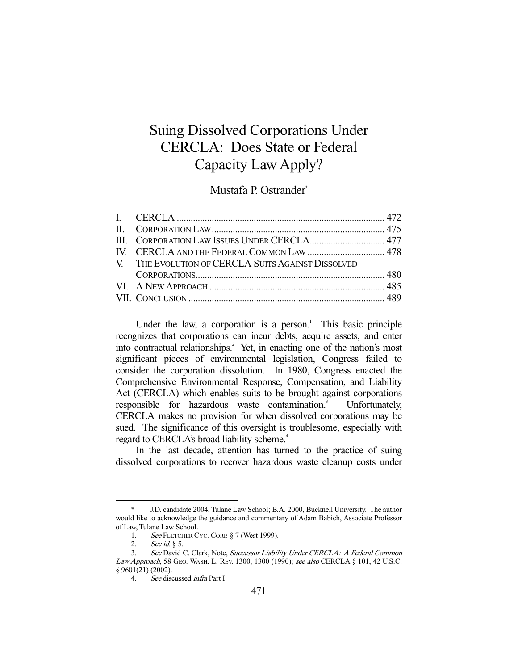# Suing Dissolved Corporations Under CERCLA: Does State or Federal Capacity Law Apply?

Mustafa P. Ostrander\*

| V. THE EVOLUTION OF CERCLA SUITS AGAINST DISSOLVED |  |
|----------------------------------------------------|--|
|                                                    |  |
|                                                    |  |
|                                                    |  |

Under the law, a corporation is a person. $\,^1$  This basic principle recognizes that corporations can incur debts, acquire assets, and enter into contractual relationships.<sup>2</sup> Yet, in enacting one of the nation's most significant pieces of environmental legislation, Congress failed to consider the corporation dissolution. In 1980, Congress enacted the Comprehensive Environmental Response, Compensation, and Liability Act (CERCLA) which enables suits to be brought against corporations responsible for hazardous waste contamination.<sup>3</sup> Unfortunately, CERCLA makes no provision for when dissolved corporations may be sued. The significance of this oversight is troublesome, especially with regard to CERCLA's broad liability scheme.<sup>4</sup>

 In the last decade, attention has turned to the practice of suing dissolved corporations to recover hazardous waste cleanup costs under

 <sup>\*</sup> J.D. candidate 2004, Tulane Law School; B.A. 2000, Bucknell University. The author would like to acknowledge the guidance and commentary of Adam Babich, Associate Professor of Law, Tulane Law School.

<sup>1.</sup> See FLETCHER CYC. CORP. § 7 (West 1999).

<sup>2.</sup> See id.  $\S$  5.<br>3. See David 0

See David C. Clark, Note, Successor Liability Under CERCLA: A Federal Common Law Approach, 58 GEO. WASH. L. REV. 1300, 1300 (1990); see also CERCLA § 101, 42 U.S.C. § 9601(21) (2002).

 <sup>4.</sup> See discussed infra Part I.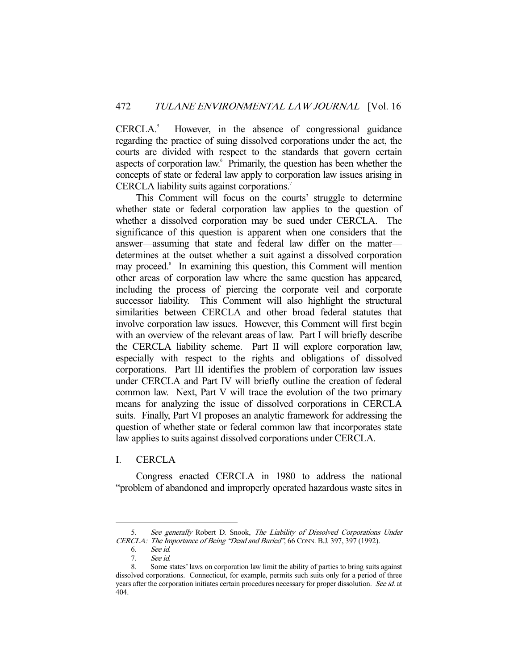CERCLA.<sup>5</sup> However, in the absence of congressional guidance regarding the practice of suing dissolved corporations under the act, the courts are divided with respect to the standards that govern certain aspects of corporation law.<sup>6</sup> Primarily, the question has been whether the concepts of state or federal law apply to corporation law issues arising in CERCLA liability suits against corporations.<sup>7</sup>

 This Comment will focus on the courts' struggle to determine whether state or federal corporation law applies to the question of whether a dissolved corporation may be sued under CERCLA. The significance of this question is apparent when one considers that the answer—assuming that state and federal law differ on the matter determines at the outset whether a suit against a dissolved corporation may proceed.<sup>8</sup> In examining this question, this Comment will mention other areas of corporation law where the same question has appeared, including the process of piercing the corporate veil and corporate successor liability. This Comment will also highlight the structural similarities between CERCLA and other broad federal statutes that involve corporation law issues. However, this Comment will first begin with an overview of the relevant areas of law. Part I will briefly describe the CERCLA liability scheme. Part II will explore corporation law, especially with respect to the rights and obligations of dissolved corporations. Part III identifies the problem of corporation law issues under CERCLA and Part IV will briefly outline the creation of federal common law. Next, Part V will trace the evolution of the two primary means for analyzing the issue of dissolved corporations in CERCLA suits. Finally, Part VI proposes an analytic framework for addressing the question of whether state or federal common law that incorporates state law applies to suits against dissolved corporations under CERCLA.

# I. CERCLA

 Congress enacted CERCLA in 1980 to address the national "problem of abandoned and improperly operated hazardous waste sites in

 <sup>5.</sup> See generally Robert D. Snook, The Liability of Dissolved Corporations Under CERCLA: The Importance of Being "Dead and Buried", 66 CONN. B.J. 397, 397 (1992).

 <sup>6.</sup> See id.

 <sup>7.</sup> See id.

 <sup>8.</sup> Some states' laws on corporation law limit the ability of parties to bring suits against dissolved corporations. Connecticut, for example, permits such suits only for a period of three years after the corporation initiates certain procedures necessary for proper dissolution. See id. at 404.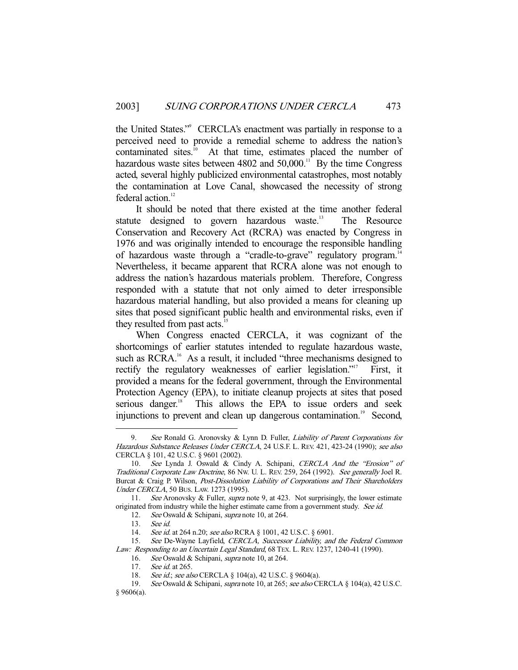the United States."9 CERCLA's enactment was partially in response to a perceived need to provide a remedial scheme to address the nation's contaminated sites.<sup>10</sup> At that time, estimates placed the number of hazardous waste sites between  $4802$  and  $50,000$ .<sup>11</sup> By the time Congress acted, several highly publicized environmental catastrophes, most notably the contamination at Love Canal, showcased the necessity of strong federal action.<sup>12</sup>

 It should be noted that there existed at the time another federal statute designed to govern hazardous waste.<sup>13</sup> The Resource Conservation and Recovery Act (RCRA) was enacted by Congress in 1976 and was originally intended to encourage the responsible handling of hazardous waste through a "cradle-to-grave" regulatory program.<sup>14</sup> Nevertheless, it became apparent that RCRA alone was not enough to address the nation's hazardous materials problem. Therefore, Congress responded with a statute that not only aimed to deter irresponsible hazardous material handling, but also provided a means for cleaning up sites that posed significant public health and environmental risks, even if they resulted from past acts.<sup>15</sup>

 When Congress enacted CERCLA, it was cognizant of the shortcomings of earlier statutes intended to regulate hazardous waste, such as RCRA.<sup>16</sup> As a result, it included "three mechanisms designed to rectify the regulatory weaknesses of earlier legislation."<sup>17</sup> First, it provided a means for the federal government, through the Environmental Protection Agency (EPA), to initiate cleanup projects at sites that posed serious danger.<sup>18</sup> This allows the EPA to issue orders and seek injunctions to prevent and clean up dangerous contamination.<sup>19</sup> Second,

<sup>9.</sup> See Ronald G. Aronovsky & Lynn D. Fuller, Liability of Parent Corporations for Hazardous Substance Releases Under CERCLA, 24 U.S.F. L. REV. 421, 423-24 (1990); see also CERCLA § 101, 42 U.S.C. § 9601 (2002).

 <sup>10.</sup> See Lynda J. Oswald & Cindy A. Schipani, CERCLA And the "Erosion" of Traditional Corporate Law Doctrine, 86 NW. U. L. REV. 259, 264 (1992). See generally Joel R. Burcat & Craig P. Wilson, Post-Dissolution Liability of Corporations and Their Shareholders Under CERCLA, 50 BUS. LAW. 1273 (1995).

<sup>11.</sup> See Aronovsky & Fuller, *supra* note 9, at 423. Not surprisingly, the lower estimate originated from industry while the higher estimate came from a government study. See id.

<sup>12.</sup> See Oswald & Schipani, supra note 10, at 264.<br>13. See id.

 <sup>13.</sup> See id.

<sup>14.</sup> See id. at 264 n.20; see also RCRA § 1001, 42 U.S.C. § 6901.

<sup>15.</sup> See De-Wayne Layfield, CERCLA, Successor Liability, and the Federal Common Law: Responding to an Uncertain Legal Standard, 68 TEX. L. REV. 1237, 1240-41 (1990).

<sup>16.</sup> See Oswald & Schipani, supra note 10, at 264.

<sup>17.</sup> See id. at 265.

 <sup>18.</sup> See id.; see also CERCLA § 104(a), 42 U.S.C. § 9604(a).

 <sup>19.</sup> See Oswald & Schipani, supra note 10, at 265; see also CERCLA § 104(a), 42 U.S.C.

 $§$  9606(a).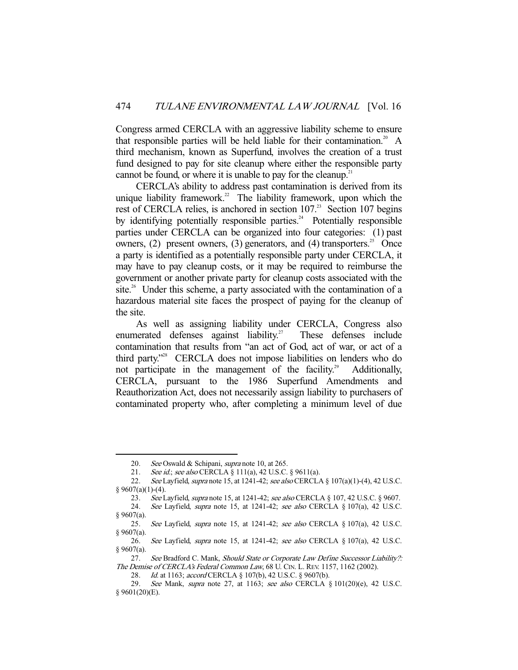Congress armed CERCLA with an aggressive liability scheme to ensure that responsible parties will be held liable for their contamination.<sup>20</sup> A third mechanism, known as Superfund, involves the creation of a trust fund designed to pay for site cleanup where either the responsible party cannot be found, or where it is unable to pay for the cleanup.<sup>21</sup>

 CERCLA's ability to address past contamination is derived from its unique liability framework.<sup>22</sup> The liability framework, upon which the rest of CERCLA relies, is anchored in section 107.<sup>23</sup> Section 107 begins by identifying potentially responsible parties.<sup>24</sup> Potentially responsible parties under CERCLA can be organized into four categories: (1) past owners, (2) present owners, (3) generators, and (4) transporters.<sup>25</sup> Once a party is identified as a potentially responsible party under CERCLA, it may have to pay cleanup costs, or it may be required to reimburse the government or another private party for cleanup costs associated with the site.<sup>26</sup> Under this scheme, a party associated with the contamination of a hazardous material site faces the prospect of paying for the cleanup of the site.

 As well as assigning liability under CERCLA, Congress also enumerated defenses against liability.<sup>27</sup> These defenses include contamination that results from "an act of God, act of war, or act of a third party."28 CERCLA does not impose liabilities on lenders who do not participate in the management of the facility.<sup>29</sup> Additionally, CERCLA, pursuant to the 1986 Superfund Amendments and Reauthorization Act, does not necessarily assign liability to purchasers of contaminated property who, after completing a minimum level of due

<sup>20.</sup> See Oswald & Schipani, supra note 10, at 265.

<sup>21.</sup> See id.; see also CERCLA § 111(a), 42 U.S.C. § 9611(a).

<sup>22.</sup> See Layfield, supra note 15, at 1241-42; see also CERCLA § 107(a)(1)-(4), 42 U.S.C. § 9607(a)(1)-(4).

<sup>23.</sup> See Layfield, *supra* note 15, at 1241-42; see also CERCLA § 107, 42 U.S.C. § 9607. 24. See Layfield, supra note 15, at 1241-42; see also CERCLA § 107(a), 42 U.S.C.

 $§$  9607(a).

<sup>25.</sup> See Layfield, supra note 15, at 1241-42; see also CERCLA § 107(a), 42 U.S.C. § 9607(a).

<sup>26.</sup> See Layfield, supra note 15, at 1241-42; see also CERCLA § 107(a), 42 U.S.C. § 9607(a).

<sup>27.</sup> See Bradford C. Mank, Should State or Corporate Law Define Successor Liability?: The Demise of CERCLA's Federal Common Law, 68 U. CIN. L. REV. 1157, 1162 (2002).

<sup>28.</sup> *Id.* at 1163; *accord* CERCLA § 107(b), 42 U.S.C. § 9607(b).

<sup>29.</sup> See Mank, supra note 27, at 1163; see also CERCLA § 101(20)(e), 42 U.S.C. § 9601(20)(E).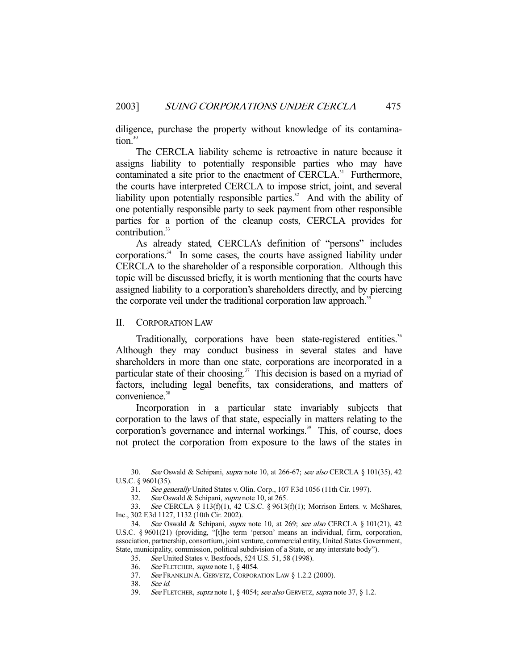diligence, purchase the property without knowledge of its contamination.<sup>30</sup>

 The CERCLA liability scheme is retroactive in nature because it assigns liability to potentially responsible parties who may have contaminated a site prior to the enactment of CERCLA.<sup>31</sup> Furthermore, the courts have interpreted CERCLA to impose strict, joint, and several liability upon potentially responsible parties.<sup>32</sup> And with the ability of one potentially responsible party to seek payment from other responsible parties for a portion of the cleanup costs, CERCLA provides for contribution.<sup>33</sup>

 As already stated, CERCLA's definition of "persons" includes corporations.<sup>34</sup> In some cases, the courts have assigned liability under CERCLA to the shareholder of a responsible corporation. Although this topic will be discussed briefly, it is worth mentioning that the courts have assigned liability to a corporation's shareholders directly, and by piercing the corporate veil under the traditional corporation law approach.<sup>35</sup>

#### II. CORPORATION LAW

Traditionally, corporations have been state-registered entities.<sup>36</sup> Although they may conduct business in several states and have shareholders in more than one state, corporations are incorporated in a particular state of their choosing.<sup>37</sup> This decision is based on a myriad of factors, including legal benefits, tax considerations, and matters of convenience.<sup>38</sup>

 Incorporation in a particular state invariably subjects that corporation to the laws of that state, especially in matters relating to the corporation's governance and internal workings.<sup>39</sup> This, of course, does not protect the corporation from exposure to the laws of the states in

 <sup>30.</sup> See Oswald & Schipani, supra note 10, at 266-67; see also CERCLA § 101(35), 42 U.S.C. § 9601(35).

 <sup>31.</sup> See generally United States v. Olin. Corp., 107 F.3d 1056 (11th Cir. 1997).

<sup>32.</sup> See Oswald & Schipani, supra note 10, at 265.

 <sup>33.</sup> See CERCLA § 113(f)(1), 42 U.S.C. § 9613(f)(1); Morrison Enters. v. McShares, Inc., 302 F.3d 1127, 1132 (10th Cir. 2002).

 <sup>34.</sup> See Oswald & Schipani, supra note 10, at 269; see also CERCLA § 101(21), 42 U.S.C. § 9601(21) (providing, "[t]he term 'person' means an individual, firm, corporation, association, partnership, consortium, joint venture, commercial entity, United States Government, State, municipality, commission, political subdivision of a State, or any interstate body").

 <sup>35.</sup> See United States v. Bestfoods, 524 U.S. 51, 58 (1998).

 <sup>36.</sup> See FLETCHER, supra note 1, § 4054.

 <sup>37.</sup> See FRANKLIN A. GERVETZ, CORPORATION LAW § 1.2.2 (2000).

 <sup>38.</sup> See id.

 <sup>39.</sup> See FLETCHER, supra note 1, § 4054; see also GERVETZ, supra note 37, § 1.2.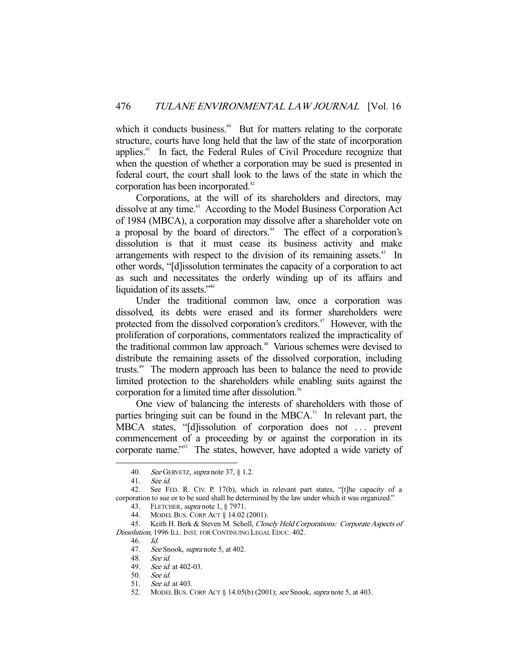which it conducts business.<sup>40</sup> But for matters relating to the corporate structure, courts have long held that the law of the state of incorporation applies.41 In fact, the Federal Rules of Civil Procedure recognize that when the question of whether a corporation may be sued is presented in federal court, the court shall look to the laws of the state in which the corporation has been incorporated.<sup>42</sup>

 Corporations, at the will of its shareholders and directors, may dissolve at any time.<sup>43</sup> According to the Model Business Corporation Act of 1984 (MBCA), a corporation may dissolve after a shareholder vote on a proposal by the board of directors.<sup>44</sup> The effect of a corporation's dissolution is that it must cease its business activity and make arrangements with respect to the division of its remaining assets.<sup>45</sup> In other words, "[d]issolution terminates the capacity of a corporation to act as such and necessitates the orderly winding up of its affairs and liquidation of its assets."<sup>46</sup>

 Under the traditional common law, once a corporation was dissolved, its debts were erased and its former shareholders were protected from the dissolved corporation's creditors.<sup> $47$ </sup> However, with the proliferation of corporations, commentators realized the impracticality of the traditional common law approach.<sup>48</sup> Various schemes were devised to distribute the remaining assets of the dissolved corporation, including trusts.49 The modern approach has been to balance the need to provide limited protection to the shareholders while enabling suits against the corporation for a limited time after dissolution.<sup>50</sup>

 One view of balancing the interests of shareholders with those of parties bringing suit can be found in the MBCA.<sup>51</sup> In relevant part, the MBCA states, "[d]issolution of corporation does not . . . prevent commencement of a proceeding by or against the corporation in its corporate name."52 The states, however, have adopted a wide variety of

<sup>40.</sup> See GERVETZ, supra note 37,  $\S$  1.2.

 <sup>41.</sup> See id.

 <sup>42.</sup> See FED. R. CIV. P. 17(b), which in relevant part states, "[t]he capacity of a corporation to sue or to be sued shall be determined by the law under which it was organized."

<sup>43.</sup> FLETCHER, *supra* note 1, § 7971.

 <sup>44.</sup> MODEL BUS. CORP. ACT § 14.02 (2001).

<sup>45.</sup> Keith H. Berk & Steven M. Scholl, *Closely Held Corporations: Corporate Aspects of* Dissolution, 1996 ILL. INST. FOR CONTINUING LEGAL EDUC. 402.

 <sup>46.</sup> Id.

<sup>47.</sup> See Snook, *supra* note 5, at 402.

 <sup>48.</sup> See id.

<sup>49.</sup> See id. at 402-03.

 <sup>50.</sup> See id.

 <sup>51.</sup> See id. at 403.

<sup>52.</sup> MODEL BUS. CORP. ACT § 14.05(b) (2001); see Snook, supra note 5, at 403.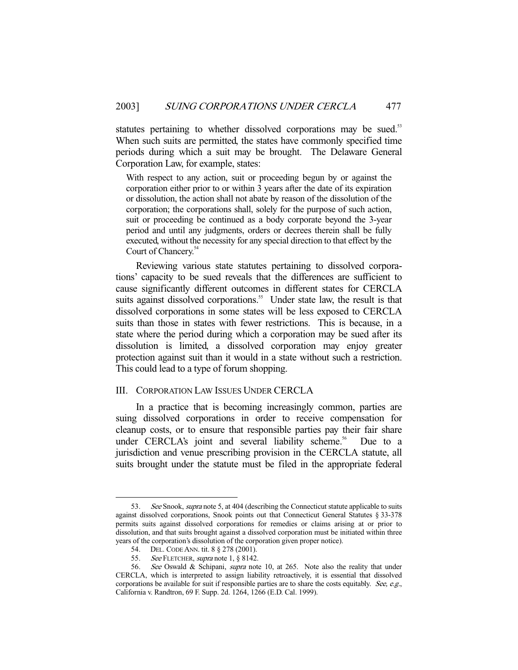statutes pertaining to whether dissolved corporations may be sued.<sup>53</sup> When such suits are permitted, the states have commonly specified time periods during which a suit may be brought. The Delaware General Corporation Law, for example, states:

With respect to any action, suit or proceeding begun by or against the corporation either prior to or within 3 years after the date of its expiration or dissolution, the action shall not abate by reason of the dissolution of the corporation; the corporations shall, solely for the purpose of such action, suit or proceeding be continued as a body corporate beyond the 3-year period and until any judgments, orders or decrees therein shall be fully executed, without the necessity for any special direction to that effect by the Court of Chancery.<sup>54</sup>

 Reviewing various state statutes pertaining to dissolved corporations' capacity to be sued reveals that the differences are sufficient to cause significantly different outcomes in different states for CERCLA suits against dissolved corporations.<sup>55</sup> Under state law, the result is that dissolved corporations in some states will be less exposed to CERCLA suits than those in states with fewer restrictions. This is because, in a state where the period during which a corporation may be sued after its dissolution is limited, a dissolved corporation may enjoy greater protection against suit than it would in a state without such a restriction. This could lead to a type of forum shopping.

## III. CORPORATION LAW ISSUES UNDER CERCLA

 In a practice that is becoming increasingly common, parties are suing dissolved corporations in order to receive compensation for cleanup costs, or to ensure that responsible parties pay their fair share under CERCLA's joint and several liability scheme.<sup>56</sup> Due to a jurisdiction and venue prescribing provision in the CERCLA statute, all suits brought under the statute must be filed in the appropriate federal

<sup>53.</sup> See Snook, *supra* note 5, at 404 (describing the Connecticut statute applicable to suits against dissolved corporations, Snook points out that Connecticut General Statutes § 33-378 permits suits against dissolved corporations for remedies or claims arising at or prior to dissolution, and that suits brought against a dissolved corporation must be initiated within three years of the corporation's dissolution of the corporation given proper notice).

 <sup>54.</sup> DEL. CODE ANN. tit. 8 § 278 (2001).

<sup>55.</sup> See FLETCHER, supra note 1, § 8142.

<sup>56.</sup> See Oswald & Schipani, supra note 10, at 265. Note also the reality that under CERCLA, which is interpreted to assign liability retroactively, it is essential that dissolved corporations be available for suit if responsible parties are to share the costs equitably. See, e.g., California v. Randtron, 69 F. Supp. 2d. 1264, 1266 (E.D. Cal. 1999).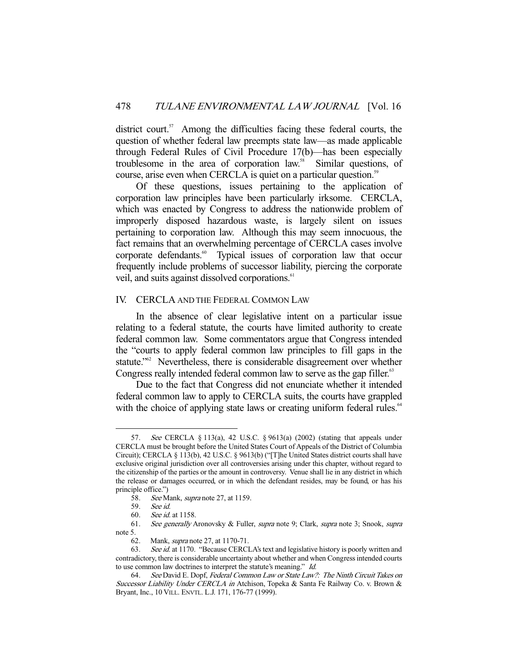district court. $57$  Among the difficulties facing these federal courts, the question of whether federal law preempts state law—as made applicable through Federal Rules of Civil Procedure 17(b)—has been especially troublesome in the area of corporation law.58 Similar questions, of course, arise even when CERCLA is quiet on a particular question.<sup>59</sup>

 Of these questions, issues pertaining to the application of corporation law principles have been particularly irksome. CERCLA, which was enacted by Congress to address the nationwide problem of improperly disposed hazardous waste, is largely silent on issues pertaining to corporation law. Although this may seem innocuous, the fact remains that an overwhelming percentage of CERCLA cases involve corporate defendants.<sup>60</sup> Typical issues of corporation law that occur frequently include problems of successor liability, piercing the corporate veil, and suits against dissolved corporations.<sup>61</sup>

### IV. CERCLA AND THE FEDERAL COMMON LAW

 In the absence of clear legislative intent on a particular issue relating to a federal statute, the courts have limited authority to create federal common law. Some commentators argue that Congress intended the "courts to apply federal common law principles to fill gaps in the statute."<sup>62</sup> Nevertheless, there is considerable disagreement over whether Congress really intended federal common law to serve as the gap filler.<sup>63</sup>

 Due to the fact that Congress did not enunciate whether it intended federal common law to apply to CERCLA suits, the courts have grappled with the choice of applying state laws or creating uniform federal rules.<sup>64</sup>

 <sup>57.</sup> See CERCLA § 113(a), 42 U.S.C. § 9613(a) (2002) (stating that appeals under CERCLA must be brought before the United States Court of Appeals of the District of Columbia Circuit); CERCLA § 113(b), 42 U.S.C. § 9613(b) ("[T]he United States district courts shall have exclusive original jurisdiction over all controversies arising under this chapter, without regard to the citizenship of the parties or the amount in controversy. Venue shall lie in any district in which the release or damages occurred, or in which the defendant resides, may be found, or has his principle office.")<br>58. See M

See Mank, supra note 27, at 1159.

 <sup>59.</sup> See id.

 <sup>60.</sup> See id. at 1158.

 <sup>61.</sup> See generally Aronovsky & Fuller, supra note 9; Clark, supra note 3; Snook, supra note 5.

<sup>62.</sup> Mank, *supra* note 27, at 1170-71.<br>63. *See id.* at 1170. "Because CERCI

See id. at 1170. "Because CERCLA's text and legislative history is poorly written and contradictory, there is considerable uncertainty about whether and when Congress intended courts to use common law doctrines to interpret the statute's meaning." Id.

 <sup>64.</sup> See David E. Dopf, Federal Common Law or State Law?: The Ninth Circuit Takes on Successor Liability Under CERCLA in Atchison, Topeka & Santa Fe Railway Co. v. Brown & Bryant, Inc., 10 VILL. ENVTL. L.J. 171, 176-77 (1999).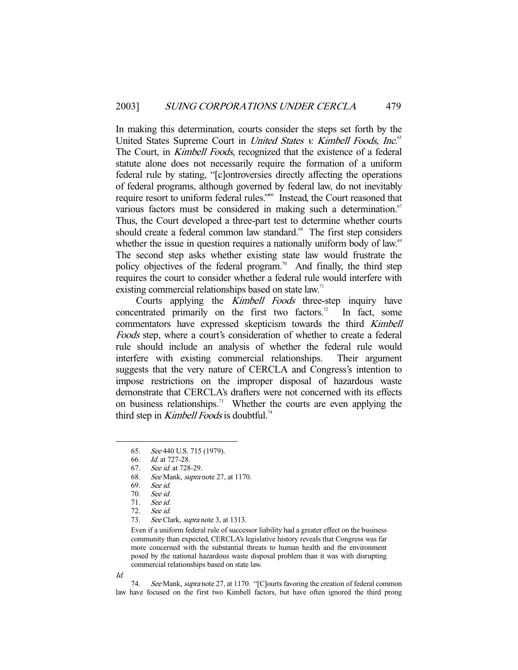In making this determination, courts consider the steps set forth by the United States Supreme Court in *United States v. Kimbell Foods*, Inc.<sup>65</sup> The Court, in *Kimbell Foods*, recognized that the existence of a federal statute alone does not necessarily require the formation of a uniform federal rule by stating, "[c]ontroversies directly affecting the operations of federal programs, although governed by federal law, do not inevitably require resort to uniform federal rules."66 Instead, the Court reasoned that various factors must be considered in making such a determination.<sup>67</sup> Thus, the Court developed a three-part test to determine whether courts should create a federal common law standard.<sup>68</sup> The first step considers whether the issue in question requires a nationally uniform body of law.<sup>69</sup> The second step asks whether existing state law would frustrate the policy objectives of the federal program.<sup>70</sup> And finally, the third step requires the court to consider whether a federal rule would interfere with existing commercial relationships based on state law.<sup>71</sup>

Courts applying the *Kimbell Foods* three-step inquiry have concentrated primarily on the first two factors.<sup>72</sup> In fact, some commentators have expressed skepticism towards the third Kimbell Foods step, where a court's consideration of whether to create a federal rule should include an analysis of whether the federal rule would interfere with existing commercial relationships. Their argument suggests that the very nature of CERCLA and Congress's intention to impose restrictions on the improper disposal of hazardous waste demonstrate that CERCLA's drafters were not concerned with its effects on business relationships.<sup>73</sup> Whether the courts are even applying the third step in Kimbell Foods is doubtful.<sup>74</sup>

Even if a uniform federal rule of successor liability had a greater effect on the business community than expected, CERCLA's legislative history reveals that Congress was far more concerned with the substantial threats to human health and the environment posed by the national hazardous waste disposal problem than it was with disrupting commercial relationships based on state law.

Id.

-

74. See Mank, supra note 27, at 1170. "[C]ourts favoring the creation of federal common law have focused on the first two Kimbell factors, but have often ignored the third prong

 <sup>65.</sup> See 440 U.S. 715 (1979).

 <sup>66.</sup> Id. at 727-28.

 <sup>67.</sup> See id. at 728-29.

 <sup>68.</sup> See Mank, supra note 27, at 1170.

 <sup>69.</sup> See id.

 <sup>70.</sup> See id.

 <sup>71.</sup> See id.

 <sup>72.</sup> See id.

<sup>73.</sup> See Clark, supra note 3, at 1313.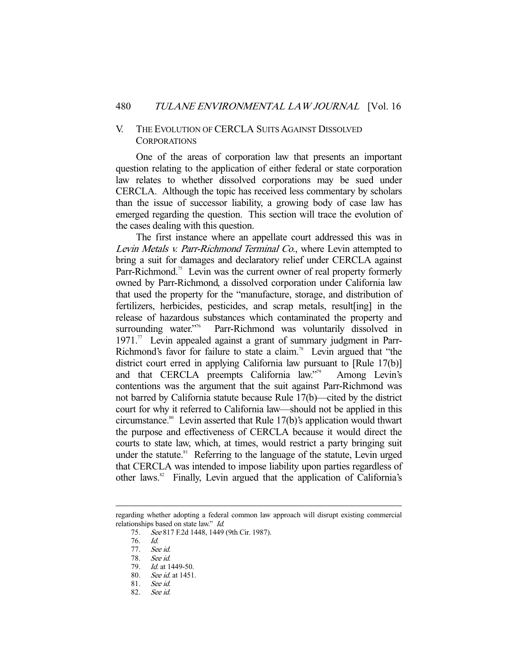### V. THE EVOLUTION OF CERCLA SUITS AGAINST DISSOLVED **CORPORATIONS**

 One of the areas of corporation law that presents an important question relating to the application of either federal or state corporation law relates to whether dissolved corporations may be sued under CERCLA. Although the topic has received less commentary by scholars than the issue of successor liability, a growing body of case law has emerged regarding the question. This section will trace the evolution of the cases dealing with this question.

 The first instance where an appellate court addressed this was in Levin Metals v. Parr-Richmond Terminal Co., where Levin attempted to bring a suit for damages and declaratory relief under CERCLA against Parr-Richmond.<sup>75</sup> Levin was the current owner of real property formerly owned by Parr-Richmond, a dissolved corporation under California law that used the property for the "manufacture, storage, and distribution of fertilizers, herbicides, pesticides, and scrap metals, result[ing] in the release of hazardous substances which contaminated the property and surrounding water.<sup>776</sup> Parr-Richmond was voluntarily dissolved in Parr-Richmond was voluntarily dissolved in  $1971$ .<sup>77</sup> Levin appealed against a grant of summary judgment in Parr-Richmond's favor for failure to state a claim.<sup>78</sup> Levin argued that "the district court erred in applying California law pursuant to [Rule 17(b)] and that CERCLA preempts California law."79 Among Levin's contentions was the argument that the suit against Parr-Richmond was not barred by California statute because Rule 17(b)—cited by the district court for why it referred to California law—should not be applied in this circumstance.<sup>80</sup> Levin asserted that Rule  $17(b)$ 's application would thwart the purpose and effectiveness of CERCLA because it would direct the courts to state law, which, at times, would restrict a party bringing suit under the statute.<sup>81</sup> Referring to the language of the statute, Levin urged that CERCLA was intended to impose liability upon parties regardless of other laws.<sup>82</sup> Finally, Levin argued that the application of California's

regarding whether adopting a federal common law approach will disrupt existing commercial relationships based on state law." Id.

<sup>75.</sup> See 817 F.2d 1448, 1449 (9th Cir. 1987).

 <sup>76.</sup> Id.

 <sup>77.</sup> See id.

 <sup>78.</sup> See id.

 <sup>79.</sup> Id. at 1449-50.

 <sup>80.</sup> See id. at 1451.

 <sup>81.</sup> See id.

 <sup>82.</sup> See id.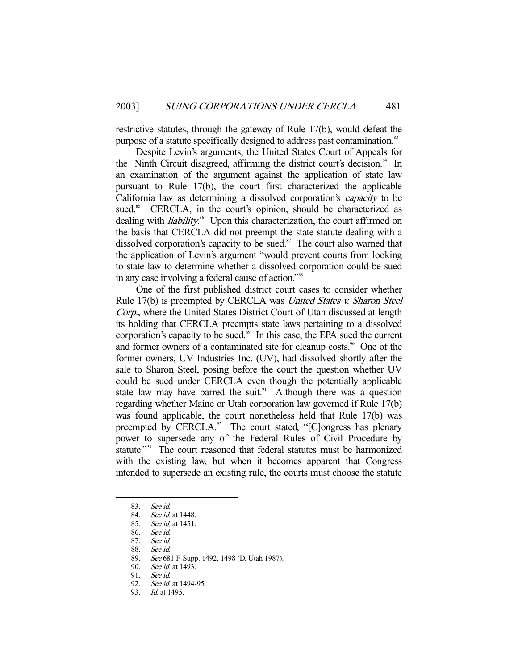restrictive statutes, through the gateway of Rule 17(b), would defeat the purpose of a statute specifically designed to address past contamination.<sup>83</sup>

 Despite Levin's arguments, the United States Court of Appeals for the Ninth Circuit disagreed, affirming the district court's decision. $84$  In an examination of the argument against the application of state law pursuant to Rule 17(b), the court first characterized the applicable California law as determining a dissolved corporation's capacity to be sued.<sup>85</sup> CERCLA, in the court's opinion, should be characterized as dealing with *liability*.<sup>86</sup> Upon this characterization, the court affirmed on the basis that CERCLA did not preempt the state statute dealing with a dissolved corporation's capacity to be sued. $87$  The court also warned that the application of Levin's argument "would prevent courts from looking to state law to determine whether a dissolved corporation could be sued in any case involving a federal cause of action."<sup>88</sup>

 One of the first published district court cases to consider whether Rule 17(b) is preempted by CERCLA was *United States v. Sharon Steel* Corp., where the United States District Court of Utah discussed at length its holding that CERCLA preempts state laws pertaining to a dissolved corporation's capacity to be sued. $\frac{89}{10}$  In this case, the EPA sued the current and former owners of a contaminated site for cleanup costs.<sup>90</sup> One of the former owners, UV Industries Inc. (UV), had dissolved shortly after the sale to Sharon Steel, posing before the court the question whether UV could be sued under CERCLA even though the potentially applicable state law may have barred the suit.<sup>91</sup> Although there was a question regarding whether Maine or Utah corporation law governed if Rule 17(b) was found applicable, the court nonetheless held that Rule 17(b) was preempted by  $CERCLA.<sup>92</sup>$  The court stated, "[C]ongress has plenary power to supersede any of the Federal Rules of Civil Procedure by statute."<sup>93</sup> The court reasoned that federal statutes must be harmonized with the existing law, but when it becomes apparent that Congress intended to supersede an existing rule, the courts must choose the statute

 <sup>83.</sup> See id.

 <sup>84.</sup> See id. at 1448.

 <sup>85.</sup> See id. at 1451.

 <sup>86.</sup> See id.

 <sup>87.</sup> See id.

 <sup>88.</sup> See id.

<sup>89.</sup> See 681 F. Supp. 1492, 1498 (D. Utah 1987).

<sup>90.</sup> *See id.* at 1493.<br>91. *See id.* 

See id.

<sup>92.</sup> See id. at 1494-95.

<sup>93.</sup> *Id.* at 1495.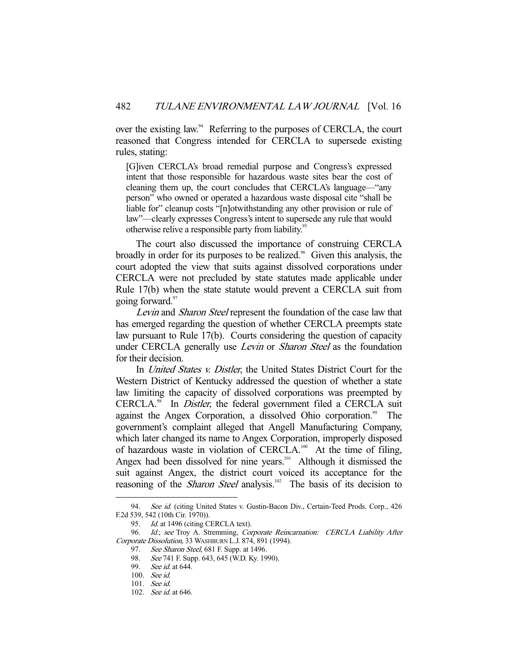over the existing law.<sup>94</sup> Referring to the purposes of CERCLA, the court reasoned that Congress intended for CERCLA to supersede existing rules, stating:

[G]iven CERCLA's broad remedial purpose and Congress's expressed intent that those responsible for hazardous waste sites bear the cost of cleaning them up, the court concludes that CERCLA's language—"any person" who owned or operated a hazardous waste disposal cite "shall be liable for" cleanup costs "[n]otwithstanding any other provision or rule of law"—clearly expresses Congress's intent to supersede any rule that would otherwise relive a responsible party from liability.<sup>95</sup>

 The court also discussed the importance of construing CERCLA broadly in order for its purposes to be realized.<sup>96</sup> Given this analysis, the court adopted the view that suits against dissolved corporations under CERCLA were not precluded by state statutes made applicable under Rule 17(b) when the state statute would prevent a CERCLA suit from going forward.<sup>97</sup>

Levin and Sharon Steel represent the foundation of the case law that has emerged regarding the question of whether CERCLA preempts state law pursuant to Rule 17(b). Courts considering the question of capacity under CERCLA generally use *Levin* or *Sharon Steel* as the foundation for their decision.

In *United States v. Distler*, the United States District Court for the Western District of Kentucky addressed the question of whether a state law limiting the capacity of dissolved corporations was preempted by CERCLA.<sup>98</sup> In *Distler*, the federal government filed a CERCLA suit against the Angex Corporation, a dissolved Ohio corporation.<sup>99</sup> The government's complaint alleged that Angell Manufacturing Company, which later changed its name to Angex Corporation, improperly disposed of hazardous waste in violation of CERCLA.<sup>100</sup> At the time of filing, Angex had been dissolved for nine years.<sup>101</sup> Although it dismissed the suit against Angex, the district court voiced its acceptance for the reasoning of the *Sharon Steel* analysis.<sup>102</sup> The basis of its decision to

<sup>94.</sup> See id. (citing United States v. Gustin-Bacon Div., Certain-Teed Prods. Corp., 426 F.2d 539, 542 (10th Cir. 1970)).

<sup>95.</sup> Id. at 1496 (citing CERCLA text).

<sup>96.</sup> Id.; see Troy A. Stremming, Corporate Reincarnation: CERCLA Liability After Corporate Dissolution, 33 WASHBURN L.J. 874, 891 (1994).

<sup>97.</sup> See Sharon Steel, 681 F. Supp. at 1496.

<sup>98.</sup> See 741 F. Supp. 643, 645 (W.D. Ky. 1990).

<sup>99.</sup> See id. at 644.

 <sup>100.</sup> See id.

 <sup>101.</sup> See id.

 <sup>102.</sup> See id. at 646.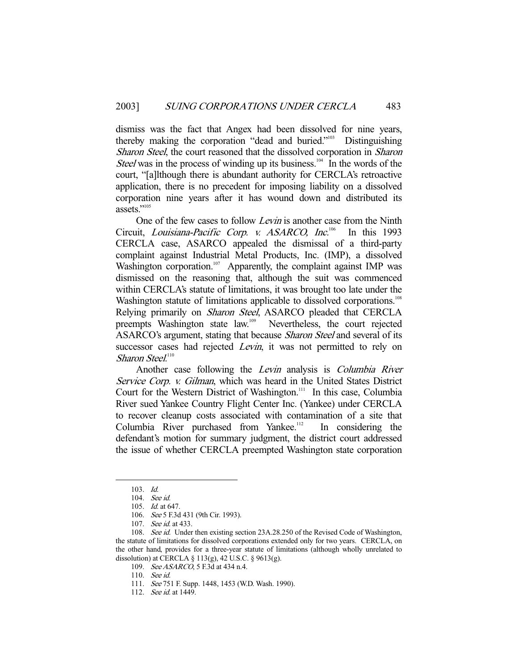dismiss was the fact that Angex had been dissolved for nine years, thereby making the corporation "dead and buried."103 Distinguishing Sharon Steel, the court reasoned that the dissolved corporation in Sharon *Steel* was in the process of winding up its business.<sup>104</sup> In the words of the court, "[a]lthough there is abundant authority for CERCLA's retroactive application, there is no precedent for imposing liability on a dissolved corporation nine years after it has wound down and distributed its assets."<sup>105</sup>

One of the few cases to follow *Levin* is another case from the Ninth Circuit, Louisiana-Pacific Corp. v. ASARCO, Inc.<sup>106</sup> In this 1993 CERCLA case, ASARCO appealed the dismissal of a third-party complaint against Industrial Metal Products, Inc. (IMP), a dissolved Washington corporation.<sup>107</sup> Apparently, the complaint against IMP was dismissed on the reasoning that, although the suit was commenced within CERCLA's statute of limitations, it was brought too late under the Washington statute of limitations applicable to dissolved corporations.<sup>108</sup> Relying primarily on *Sharon Steel*, ASARCO pleaded that CERCLA preempts Washington state law.109 Nevertheless, the court rejected ASARCO's argument, stating that because Sharon Steel and several of its successor cases had rejected *Levin*, it was not permitted to rely on Sharon Steel.<sup>110</sup>

 Another case following the Levin analysis is Columbia River Service Corp. v. Gilman, which was heard in the United States District Court for the Western District of Washington.<sup>111</sup> In this case, Columbia River sued Yankee Country Flight Center Inc. (Yankee) under CERCLA to recover cleanup costs associated with contamination of a site that Columbia River purchased from Yankee.<sup>112</sup> In considering the defendant's motion for summary judgment, the district court addressed the issue of whether CERCLA preempted Washington state corporation

-

109. See ASARCO, 5 F.3d at 434 n.4.

 <sup>103.</sup> Id.

 <sup>104.</sup> See id.

 <sup>105.</sup> Id. at 647.

 <sup>106.</sup> See 5 F.3d 431 (9th Cir. 1993).

 <sup>107.</sup> See id. at 433.

<sup>108.</sup> See id. Under then existing section 23A.28.250 of the Revised Code of Washington, the statute of limitations for dissolved corporations extended only for two years. CERCLA, on the other hand, provides for a three-year statute of limitations (although wholly unrelated to dissolution) at CERCLA § 113(g), 42 U.S.C. § 9613(g).

 <sup>110.</sup> See id.

 <sup>111.</sup> See 751 F. Supp. 1448, 1453 (W.D. Wash. 1990).

<sup>112.</sup> See id. at 1449.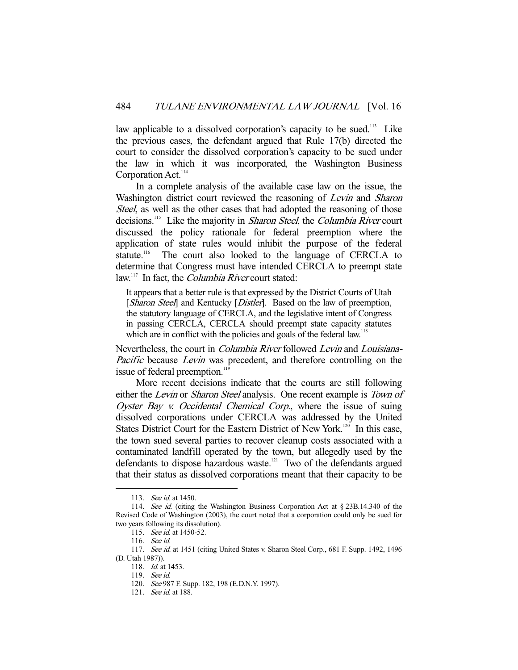law applicable to a dissolved corporation's capacity to be sued.<sup>113</sup> Like the previous cases, the defendant argued that Rule 17(b) directed the court to consider the dissolved corporation's capacity to be sued under the law in which it was incorporated, the Washington Business Corporation Act.<sup>114</sup>

 In a complete analysis of the available case law on the issue, the Washington district court reviewed the reasoning of *Levin* and *Sharon* Steel, as well as the other cases that had adopted the reasoning of those decisions.<sup>115</sup> Like the majority in *Sharon Steel*, the *Columbia River* court discussed the policy rationale for federal preemption where the application of state rules would inhibit the purpose of the federal statute.<sup>116</sup> The court also looked to the language of CERCLA to determine that Congress must have intended CERCLA to preempt state law.<sup>117</sup> In fact, the *Columbia River* court stated:

It appears that a better rule is that expressed by the District Courts of Utah [Sharon Steel] and Kentucky [Distler]. Based on the law of preemption, the statutory language of CERCLA, and the legislative intent of Congress in passing CERCLA, CERCLA should preempt state capacity statutes which are in conflict with the policies and goals of the federal law.<sup>118</sup>

Nevertheless, the court in Columbia River followed Levin and Louisiana-Pacific because Levin was precedent, and therefore controlling on the issue of federal preemption.<sup>11</sup>

 More recent decisions indicate that the courts are still following either the *Levin* or *Sharon Steel* analysis. One recent example is *Town of* Oyster Bay v. Occidental Chemical Corp., where the issue of suing dissolved corporations under CERCLA was addressed by the United States District Court for the Eastern District of New York.<sup>120</sup> In this case, the town sued several parties to recover cleanup costs associated with a contaminated landfill operated by the town, but allegedly used by the defendants to dispose hazardous waste.<sup>121</sup> Two of the defendants argued that their status as dissolved corporations meant that their capacity to be

 <sup>113.</sup> See id. at 1450.

<sup>114.</sup> See id. (citing the Washington Business Corporation Act at § 23B.14.340 of the Revised Code of Washington (2003), the court noted that a corporation could only be sued for two years following its dissolution).

<sup>115.</sup> See id. at 1450-52.

 <sup>116.</sup> See id.

<sup>117.</sup> See id. at 1451 (citing United States v. Sharon Steel Corp., 681 F. Supp. 1492, 1496 (D. Utah 1987)).

<sup>118.</sup> *Id.* at 1453.

 <sup>119.</sup> See id.

 <sup>120.</sup> See 987 F. Supp. 182, 198 (E.D.N.Y. 1997).

<sup>121.</sup> *See id.* at 188.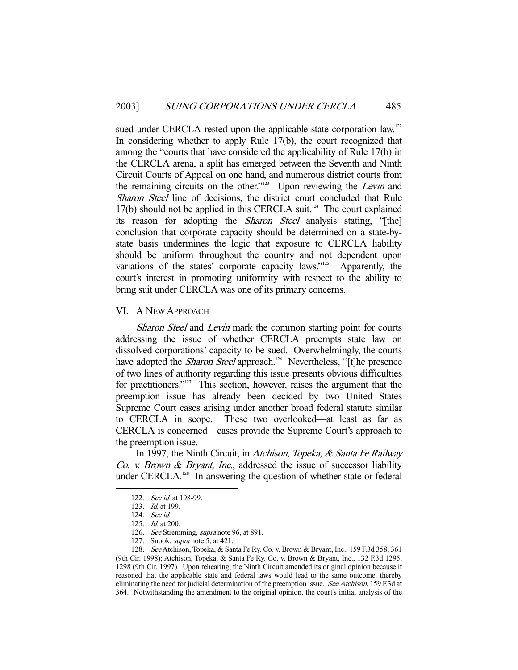sued under CERCLA rested upon the applicable state corporation law.<sup>122</sup> In considering whether to apply Rule 17(b), the court recognized that among the "courts that have considered the applicability of Rule 17(b) in the CERCLA arena, a split has emerged between the Seventh and Ninth Circuit Courts of Appeal on one hand, and numerous district courts from the remaining circuits on the other."<sup>123</sup> Upon reviewing the Levin and Sharon Steel line of decisions, the district court concluded that Rule  $17(b)$  should not be applied in this CERCLA suit.<sup>124</sup> The court explained its reason for adopting the Sharon Steel analysis stating, "[the] conclusion that corporate capacity should be determined on a state-bystate basis undermines the logic that exposure to CERCLA liability should be uniform throughout the country and not dependent upon variations of the states' corporate capacity laws."<sup>125</sup> Apparently, the court's interest in promoting uniformity with respect to the ability to bring suit under CERCLA was one of its primary concerns.

#### VI. A NEW APPROACH

Sharon Steel and Levin mark the common starting point for courts addressing the issue of whether CERCLA preempts state law on dissolved corporations' capacity to be sued. Overwhelmingly, the courts have adopted the *Sharon Steel* approach.<sup>126</sup> Nevertheless, "[t]he presence of two lines of authority regarding this issue presents obvious difficulties for practitioners."<sup>127</sup> This section, however, raises the argument that the preemption issue has already been decided by two United States Supreme Court cases arising under another broad federal statute similar to CERCLA in scope. These two overlooked—at least as far as CERCLA is concerned—cases provide the Supreme Court's approach to the preemption issue.

 In 1997, the Ninth Circuit, in Atchison, Topeka, & Santa Fe Railway Co. v. Brown & Bryant, Inc., addressed the issue of successor liability under CERCLA.<sup>128</sup> In answering the question of whether state or federal

-

127. Snook, supra note 5, at 421.

<sup>122.</sup> See id. at 198-99.

<sup>123.</sup> *Id.* at 199.

 <sup>124.</sup> See id.

 <sup>125.</sup> Id. at 200.

<sup>126.</sup> See Stremming, supra note 96, at 891.

<sup>128.</sup> See Atchison, Topeka, & Santa Fe Ry. Co. v. Brown & Bryant, Inc., 159 F.3d 358, 361 (9th Cir. 1998); Atchison, Topeka, & Santa Fe Ry. Co. v. Brown & Bryant, Inc., 132 F.3d 1295, 1298 (9th Cir. 1997). Upon rehearing, the Ninth Circuit amended its original opinion because it reasoned that the applicable state and federal laws would lead to the same outcome, thereby eliminating the need for judicial determination of the preemption issue. See Atchison, 159 F.3d at 364. Notwithstanding the amendment to the original opinion, the court's initial analysis of the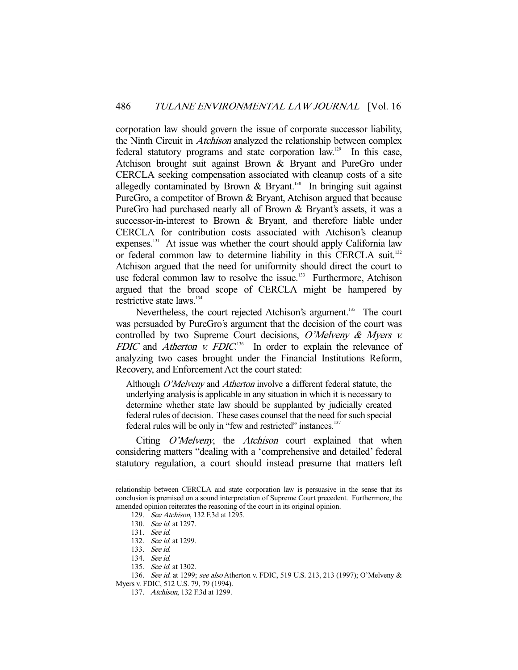corporation law should govern the issue of corporate successor liability, the Ninth Circuit in Atchison analyzed the relationship between complex federal statutory programs and state corporation law.129 In this case, Atchison brought suit against Brown & Bryant and PureGro under CERCLA seeking compensation associated with cleanup costs of a site allegedly contaminated by Brown  $\&$  Bryant.<sup>130</sup> In bringing suit against PureGro, a competitor of Brown & Bryant, Atchison argued that because PureGro had purchased nearly all of Brown & Bryant's assets, it was a successor-in-interest to Brown & Bryant, and therefore liable under CERCLA for contribution costs associated with Atchison's cleanup expenses.<sup>131</sup> At issue was whether the court should apply California law or federal common law to determine liability in this CERCLA suit.<sup>132</sup> Atchison argued that the need for uniformity should direct the court to use federal common law to resolve the issue.<sup>133</sup> Furthermore, Atchison argued that the broad scope of CERCLA might be hampered by restrictive state laws.<sup>134</sup>

Nevertheless, the court rejected Atchison's argument.<sup>135</sup> The court was persuaded by PureGro's argument that the decision of the court was controlled by two Supreme Court decisions, O'Melveny & Myers v. FDIC and Atherton v. FDIC.<sup>136</sup> In order to explain the relevance of analyzing two cases brought under the Financial Institutions Reform, Recovery, and Enforcement Act the court stated:

Although O'Melveny and Atherton involve a different federal statute, the underlying analysis is applicable in any situation in which it is necessary to determine whether state law should be supplanted by judicially created federal rules of decision. These cases counsel that the need for such special federal rules will be only in "few and restricted" instances.<sup>137</sup>

Citing *O'Melveny*, the *Atchison* court explained that when considering matters "dealing with a 'comprehensive and detailed' federal statutory regulation, a court should instead presume that matters left

relationship between CERCLA and state corporation law is persuasive in the sense that its conclusion is premised on a sound interpretation of Supreme Court precedent. Furthermore, the amended opinion reiterates the reasoning of the court in its original opinion.

 <sup>129.</sup> See Atchison, 132 F.3d at 1295.

 <sup>130.</sup> See id. at 1297.

 <sup>131.</sup> See id.

 <sup>132.</sup> See id. at 1299.

 <sup>133.</sup> See id.

 <sup>134.</sup> See id.

<sup>135.</sup> See id. at 1302.

<sup>136.</sup> See id. at 1299; see also Atherton v. FDIC, 519 U.S. 213, 213 (1997); O'Melveny & Myers v. FDIC, 512 U.S. 79, 79 (1994).

 <sup>137.</sup> Atchison, 132 F.3d at 1299.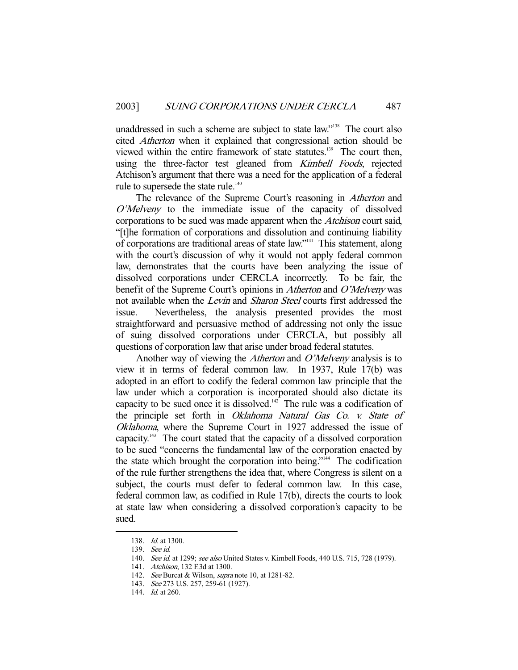unaddressed in such a scheme are subject to state law."<sup>138</sup> The court also cited Atherton when it explained that congressional action should be viewed within the entire framework of state statutes.<sup>139</sup> The court then, using the three-factor test gleaned from *Kimbell Foods*, rejected Atchison's argument that there was a need for the application of a federal rule to supersede the state rule.<sup>140</sup>

The relevance of the Supreme Court's reasoning in *Atherton* and O'Melveny to the immediate issue of the capacity of dissolved corporations to be sued was made apparent when the Atchison court said, "[t]he formation of corporations and dissolution and continuing liability of corporations are traditional areas of state law."141 This statement, along with the court's discussion of why it would not apply federal common law, demonstrates that the courts have been analyzing the issue of dissolved corporations under CERCLA incorrectly. To be fair, the benefit of the Supreme Court's opinions in Atherton and O'Melveny was not available when the Levin and Sharon Steel courts first addressed the issue. Nevertheless, the analysis presented provides the most straightforward and persuasive method of addressing not only the issue of suing dissolved corporations under CERCLA, but possibly all questions of corporation law that arise under broad federal statutes.

Another way of viewing the *Atherton* and *O'Melveny* analysis is to view it in terms of federal common law. In 1937, Rule 17(b) was adopted in an effort to codify the federal common law principle that the law under which a corporation is incorporated should also dictate its capacity to be sued once it is dissolved.<sup>142</sup> The rule was a codification of the principle set forth in Oklahoma Natural Gas Co. v. State of Oklahoma, where the Supreme Court in 1927 addressed the issue of capacity.143 The court stated that the capacity of a dissolved corporation to be sued "concerns the fundamental law of the corporation enacted by the state which brought the corporation into being."<sup>144</sup> The codification of the rule further strengthens the idea that, where Congress is silent on a subject, the courts must defer to federal common law. In this case, federal common law, as codified in Rule 17(b), directs the courts to look at state law when considering a dissolved corporation's capacity to be sued.

 <sup>138.</sup> Id. at 1300.

 <sup>139.</sup> See id.

<sup>140.</sup> See id. at 1299; see also United States v. Kimbell Foods, 440 U.S. 715, 728 (1979).

 <sup>141.</sup> Atchison, 132 F.3d at 1300.

<sup>142.</sup> See Burcat & Wilson, supra note 10, at 1281-82.

 <sup>143.</sup> See 273 U.S. 257, 259-61 (1927).

<sup>144.</sup> *Id.* at 260.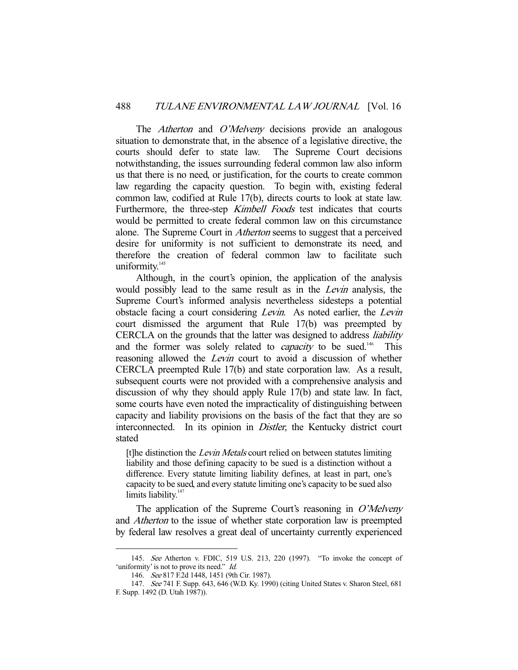The *Atherton* and *O'Melveny* decisions provide an analogous situation to demonstrate that, in the absence of a legislative directive, the courts should defer to state law. The Supreme Court decisions notwithstanding, the issues surrounding federal common law also inform us that there is no need, or justification, for the courts to create common law regarding the capacity question. To begin with, existing federal common law, codified at Rule 17(b), directs courts to look at state law. Furthermore, the three-step Kimbell Foods test indicates that courts would be permitted to create federal common law on this circumstance alone. The Supreme Court in Atherton seems to suggest that a perceived desire for uniformity is not sufficient to demonstrate its need, and therefore the creation of federal common law to facilitate such uniformity.<sup>145</sup>

 Although, in the court's opinion, the application of the analysis would possibly lead to the same result as in the *Levin* analysis, the Supreme Court's informed analysis nevertheless sidesteps a potential obstacle facing a court considering Levin. As noted earlier, the Levin court dismissed the argument that Rule 17(b) was preempted by CERCLA on the grounds that the latter was designed to address liability and the former was solely related to *capacity* to be sued.<sup>146</sup> This reasoning allowed the *Levin* court to avoid a discussion of whether CERCLA preempted Rule 17(b) and state corporation law. As a result, subsequent courts were not provided with a comprehensive analysis and discussion of why they should apply Rule 17(b) and state law. In fact, some courts have even noted the impracticality of distinguishing between capacity and liability provisions on the basis of the fact that they are so interconnected. In its opinion in *Distler*, the Kentucky district court stated

[t]he distinction the *Levin Metals* court relied on between statutes limiting liability and those defining capacity to be sued is a distinction without a difference. Every statute limiting liability defines, at least in part, one's capacity to be sued, and every statute limiting one's capacity to be sued also limits liability. $147$ 

The application of the Supreme Court's reasoning in  $O'Mel$ and Atherton to the issue of whether state corporation law is preempted by federal law resolves a great deal of uncertainty currently experienced

 <sup>145.</sup> See Atherton v. FDIC, 519 U.S. 213, 220 (1997). "To invoke the concept of 'uniformity' is not to prove its need." *Id.* 

 <sup>146.</sup> See 817 F.2d 1448, 1451 (9th Cir. 1987).

 <sup>147.</sup> See 741 F. Supp. 643, 646 (W.D. Ky. 1990) (citing United States v. Sharon Steel, 681 F. Supp. 1492 (D. Utah 1987)).